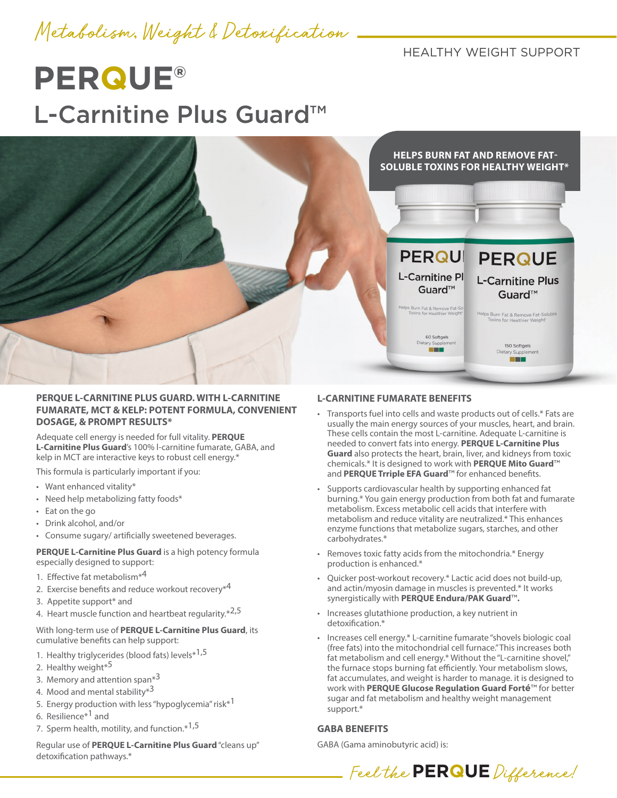Metabolism, Weight & Detoxification

HEALTHY WEIGHT SUPPORT

# **PERQUE®** L-Carnitine Plus Guard™



## **PERQUE L-CARNITINE PLUS GUARD. WITH L-CARNITINE FUMARATE, MCT & KELP: POTENT FORMULA, CONVENIENT DOSAGE, & PROMPT RESULTS\***

Adequate cell energy is needed for full vitality. **PERQUE L-Carnitine Plus Guard**'s 100% l-carnitine fumarate, GABA, and kelp in MCT are interactive keys to robust cell energy.\*

This formula is particularly important if you:

- Want enhanced vitality\*
- Need help metabolizing fatty foods\*
- Eat on the go
- Drink alcohol, and/or
- Consume sugary/ artificially sweetened beverages.

**PERQUE L-Carnitine Plus Guard** is a high potency formula especially designed to support:

- 1. Effective fat metabolism<sup>\*4</sup>
- 2. Exercise benefits and reduce workout recovery<sup>\*4</sup>
- 3. Appetite support\* and
- 4. Heart muscle function and heartbeat regularity.\*2,5

#### With long-term use of **PERQUE L-Carnitine Plus Guard**, its cumulative benefits can help support:

- 1. Healthy triglycerides (blood fats) levels\*<sup>1,5</sup>
- 2. Healthy weight<sup>\*5</sup>
- 3. Memory and attention span\*<sup>3</sup>
- 4. Mood and mental stability\*<sup>3</sup>
- 5. Energy production with less "hypoglycemia" risk\*<sup>1</sup>
- 6. Resilience\*1 and
- 7. Sperm health, motility, and function.\*1,5

Regular use of **PERQUE L-Carnitine Plus Guard** "cleans up" detoxification pathways.\*

## **L-CARNITINE FUMARATE BENEFITS**

- Transports fuel into cells and waste products out of cells.\* Fats are usually the main energy sources of your muscles, heart, and brain. These cells contain the most L-carnitine. Adequate L-carnitine is needed to convert fats into energy. **PERQUE L-Carnitine Plus Guard** also protects the heart, brain, liver, and kidneys from toxic chemicals.\* It is designed to work with **PERQUE Mito Guard**™ and **PERQUE Trriple EFA Guard**™ for enhanced benefits.
- Supports cardiovascular health by supporting enhanced fat burning.\* You gain energy production from both fat and fumarate metabolism. Excess metabolic cell acids that interfere with metabolism and reduce vitality are neutralized.\* This enhances enzyme functions that metabolize sugars, starches, and other carbohydrates.\*
- Removes toxic fatty acids from the mitochondria.\* Energy production is enhanced.\*
- Quicker post-workout recovery.\* Lactic acid does not build-up, and actin/myosin damage in muscles is prevented.\* It works synergistically with **PERQUE Endura/PAK Guard**™**.**
- Increases glutathione production, a key nutrient in detoxification.\*
- Increases cell energy.\* L-carnitine fumarate "shovels biologic coal (free fats) into the mitochondrial cell furnace." This increases both fat metabolism and cell energy.\* Without the "L-carnitine shovel," the furnace stops burning fat efficiently. Your metabolism slows, fat accumulates, and weight is harder to manage. it is designed to work with **PERQUE Glucose Regulation Guard Forté**™ for better sugar and fat metabolism and healthy weight management support.\*

#### **GABA BENEFITS**

GABA (Gama aminobutyric acid) is: